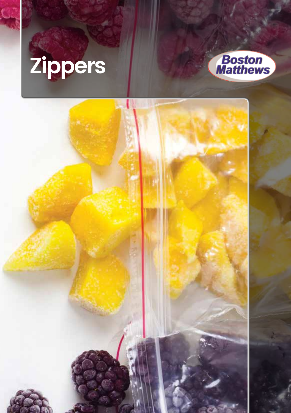# **Zippers**



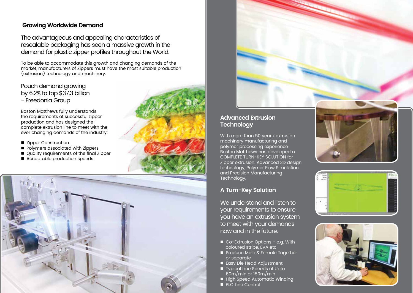## **Growing Worldwide Demand**

The advantageous and appealing characteristics of resealable packaging has seen a massive growth in the demand for plastic zipper profiles throughout the World.

To be able to accommodate this growth and changing demands of the market, manufacturers of Zippers must have the most suitable production (extrusion) technology and machinery.

Pouch demand growing by 6.2% to top \$37.3 billion - Freedonia Group

Boston Matthews fully understands the requirements of successful zipper production and has designed the complete extrusion line to meet with the ever changing demands of the industry:

- Zipper Construction
- **Polymers associated with Zippers**
- Quality requirements of the final Zipper
- Acceptable production speeds





# **Advanced Extrusion Technology**

With more than 50 years' extrusion machinery manufacturing and polymer processing experience Boston Matthews has developed a COMPLETE TURN-KEY SOLUTION for Zipper extrusion. Advanced 3D design technology, Polymer Flow Simulation and Precision Manufacturing Technology.

# **A Turn-Key Solution**

We understand and listen to your requirements to ensure you have an extrusion system to meet with your demands now and in the future.

- Co-Extrusion Options e.g. With coloured stripe, EVA etc
- Produce Male & Female Together or separate
- Easy Die Head Adjustment
- Typical Line Speeds of Upto 60m/min or 150m/min
- High Speed Automatic Winding
- **PLC Line Control**